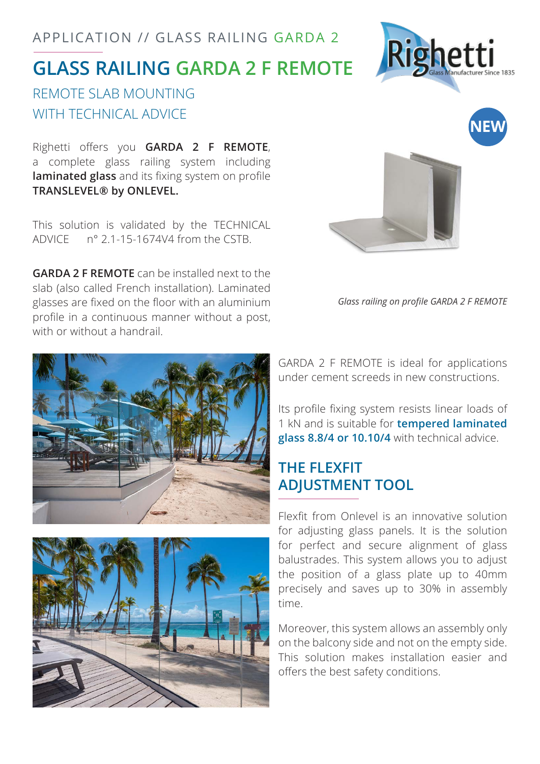## APPLICATION // GLASS RAILING GARDA 2

# **GLASS RAILING GARDA 2 F REMOTE**

## REMOTE SLAB MOUNTING WITH TECHNICAL ADVICE

Righetti offers you **GARDA 2 F REMOTE**, a complete glass railing system including **laminated glass** and its fixing system on profile **TRANSLEVEL® by ONLEVEL.**

This solution is validated by the TECHNICAL ADVICE n° 2.1-15-1674V4 from the CSTB.

**GARDA 2 F REMOTE** can be installed next to the slab (also called French installation). Laminated glasses are fixed on the floor with an aluminium profile in a continuous manner without a post, with or without a handrail.



*Glass railing on profile GARDA 2 F REMOTE*

Its profile fixing system resists linear loads of 1 kN and is suitable for **tempered laminated glass 8.8/4 or 10.10/4** with technical advice.

## **THE FLEXFIT ADJUSTMENT TOOL**

Flexfit from Onlevel is an innovative solution for adjusting glass panels. It is the solution for perfect and secure alignment of glass balustrades. This system allows you to adjust the position of a glass plate up to 40mm precisely and saves up to 30% in assembly time.

Moreover, this system allows an assembly only on the balcony side and not on the empty side. This solution makes installation easier and offers the best safety conditions.